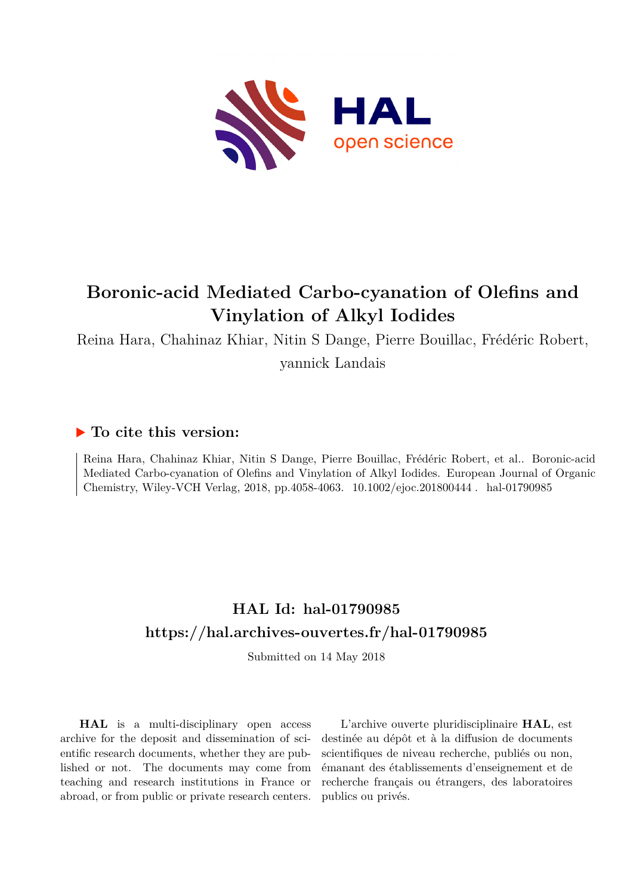

# **Boronic-acid Mediated Carbo-cyanation of Olefins and Vinylation of Alkyl Iodides**

Reina Hara, Chahinaz Khiar, Nitin S Dange, Pierre Bouillac, Frédéric Robert,

yannick Landais

### **To cite this version:**

Reina Hara, Chahinaz Khiar, Nitin S Dange, Pierre Bouillac, Frédéric Robert, et al.. Boronic-acid Mediated Carbo-cyanation of Olefins and Vinylation of Alkyl Iodides. European Journal of Organic Chemistry, Wiley-VCH Verlag, 2018, pp.4058-4063. 10.1002/ejoc.201800444 . hal-01790985

## **HAL Id: hal-01790985 <https://hal.archives-ouvertes.fr/hal-01790985>**

Submitted on 14 May 2018

**HAL** is a multi-disciplinary open access archive for the deposit and dissemination of scientific research documents, whether they are published or not. The documents may come from teaching and research institutions in France or abroad, or from public or private research centers.

L'archive ouverte pluridisciplinaire **HAL**, est destinée au dépôt et à la diffusion de documents scientifiques de niveau recherche, publiés ou non, émanant des établissements d'enseignement et de recherche français ou étrangers, des laboratoires publics ou privés.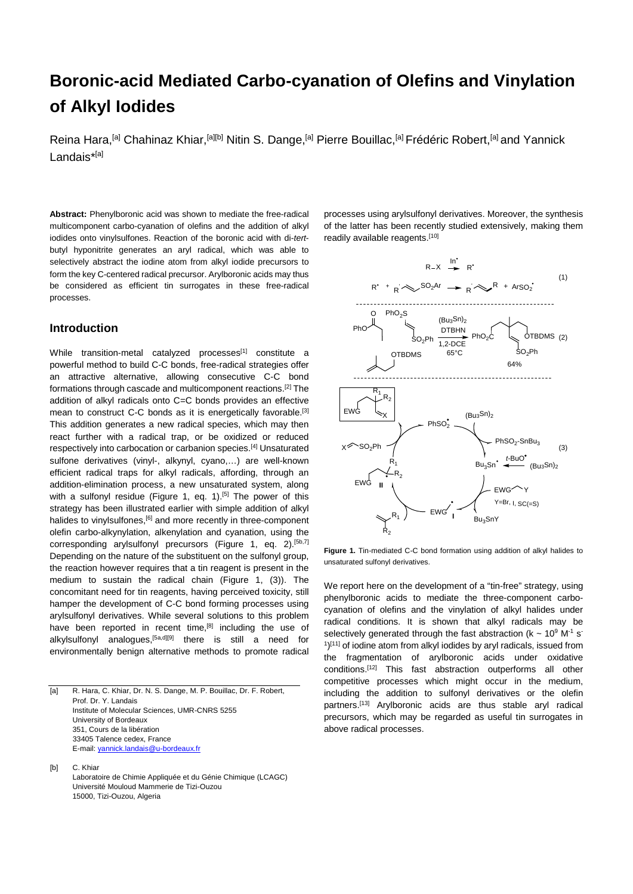# **Boronic-acid Mediated Carbo-cyanation of Olefins and Vinylation of Alkyl Iodides**

Reina Hara,<sup>[a]</sup> Chahinaz Khiar,<sup>[a][b]</sup> Nitin S. Dange,<sup>[a]</sup> Pierre Bouillac,<sup>[a]</sup> Frédéric Robert,<sup>[a]</sup> and Yannick Landais<sup>\*[a]</sup>

**Abstract:** Phenylboronic acid was shown to mediate the free-radical multicomponent carbo-cyanation of olefins and the addition of alkyl iodides onto vinylsulfones. Reaction of the boronic acid with di-*tert*butyl hyponitrite generates an aryl radical, which was able to selectively abstract the iodine atom from alkyl iodide precursors to form the key C-centered radical precursor. Arylboronic acids may thus be considered as efficient tin surrogates in these free-radical processes.

#### **Introduction**

While transition-metal catalyzed processes<sup>[1]</sup> constitute a powerful method to build C-C bonds, free-radical strategies offer an attractive alternative, allowing consecutive C-C bond formations through cascade and multicomponent reactions. [2] The addition of alkyl radicals onto C=C bonds provides an effective mean to construct C-C bonds as it is energetically favorable.[3] This addition generates a new radical species, which may then react further with a radical trap, or be oxidized or reduced respectively into carbocation or carbanion species. [4] Unsaturated sulfone derivatives (vinyl-, alkynyl, cyano,…) are well-known efficient radical traps for alkyl radicals, affording, through an addition-elimination process, a new unsaturated system, along with a sulfonyl residue (Figure 1, eq. 1).<sup>[5]</sup> The power of this strategy has been illustrated earlier with simple addition of alkyl halides to vinylsulfones,<sup>[6]</sup> and more recently in three-component olefin carbo-alkynylation, alkenylation and cyanation, using the corresponding arylsulfonyl precursors (Figure 1, eq. 2).<sup>[5b,7]</sup> Depending on the nature of the substituent on the sulfonyl group, the reaction however requires that a tin reagent is present in the medium to sustain the radical chain (Figure 1, (3)). The concomitant need for tin reagents, having perceived toxicity, still hamper the development of C-C bond forming processes using arylsulfonyl derivatives. While several solutions to this problem have been reported in recent time,<sup>[8]</sup> including the use of alkylsulfonyl analogues,<sup>[5a,d][9]</sup> there is still a need for environmentally benign alternative methods to promote radical

[a] R. Hara, C. Khiar, Dr. N. S. Dange, M. P. Bouillac, Dr. F. Robert, Prof. Dr. Y. Landais Institute of Molecular Sciences, UMR-CNRS 5255 University of Bordeaux 351, Cours de la libération 33405 Talence cedex, France E-mail[: yannick.landais@u-bordeaux.fr](mailto:yannick.landais@u-bordeaux.fr)

[b] C. Khiar Laboratoire de Chimie Appliquée et du Génie Chimique (LCAGC) Université Mouloud Mammerie de Tizi-Ouzou 15000, Tizi-Ouzou, Algeria

processes using arylsulfonyl derivatives. Moreover, the synthesis of the latter has been recently studied extensively, making them readily available reagents.<sup>[10]</sup>



**Figure 1.** Tin-mediated C-C bond formation using addition of alkyl halides to unsaturated sulfonyl derivatives.

We report here on the development of a "tin-free" strategy, using phenylboronic acids to mediate the three-component carbocyanation of olefins and the vinylation of alkyl halides under radical conditions. It is shown that alkyl radicals may be selectively generated through the fast abstraction ( $k \sim 10^9$  M<sup>-1</sup> s<sup>-</sup>  $1$ <sup>[11]</sup> of iodine atom from alkyl iodides by aryl radicals, issued from the fragmentation of arylboronic acids under oxidative conditions.[12] This fast abstraction outperforms all other competitive processes which might occur in the medium, including the addition to sulfonyl derivatives or the olefin partners.[13] Arylboronic acids are thus stable aryl radical precursors, which may be regarded as useful tin surrogates in above radical processes.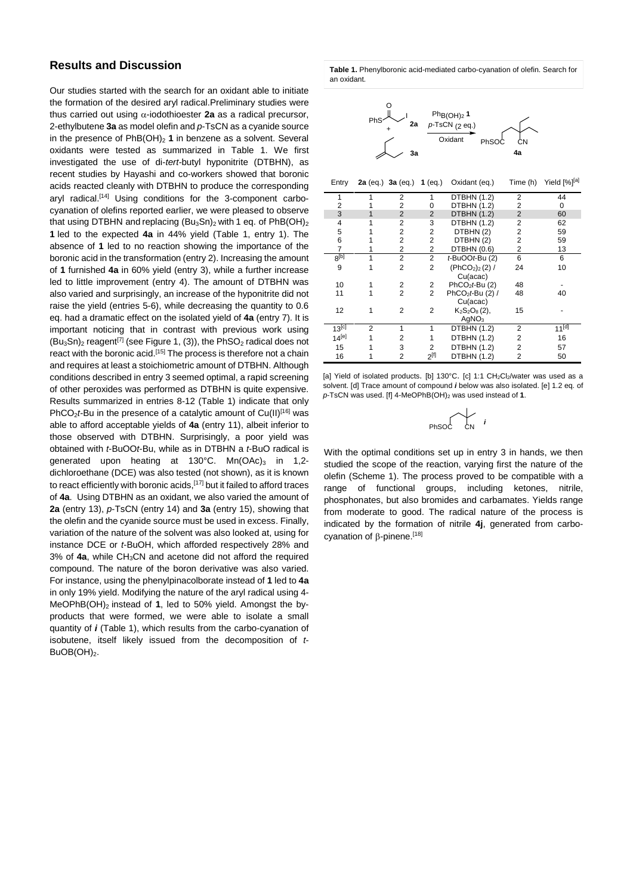#### **Results and Discussion**

Our studies started with the search for an oxidant able to initiate the formation of the desired aryl radical.Preliminary studies were thus carried out using α-iodothioester **2a** as a radical precursor, 2-ethylbutene **3a** as model olefin and *p*-TsCN as a cyanide source in the presence of  $PhB(OH)_2$  **1** in benzene as a solvent. Several oxidants were tested as summarized in Table 1. We first investigated the use of di-*tert-*butyl hyponitrite (DTBHN), as recent studies by Hayashi and co-workers showed that boronic acids reacted cleanly with DTBHN to produce the corresponding aryl radical.<sup>[14]</sup> Using conditions for the 3-component carbocyanation of olefins reported earlier, we were pleased to observe that using DTBHN and replacing  $(Bu_3Sn)_2$  with 1 eq. of PhB(OH)<sub>2</sub> **1** led to the expected **4a** in 44% yield (Table 1, entry 1). The absence of **1** led to no reaction showing the importance of the boronic acid in the transformation (entry 2). Increasing the amount of **1** furnished **4a** in 60% yield (entry 3), while a further increase led to little improvement (entry 4). The amount of DTBHN was also varied and surprisingly, an increase of the hyponitrite did not raise the yield (entries 5-6), while decreasing the quantity to 0.6 eq. had a dramatic effect on the isolated yield of **4a** (entry 7). It is important noticing that in contrast with previous work using  $(Bu_3Sn)_2$  reagent<sup>[7]</sup> (see Figure 1, (3)), the PhSO<sub>2</sub> radical does not react with the boronic acid.<sup>[15]</sup> The process is therefore not a chain and requires at least a stoichiometric amount of DTBHN. Although conditions described in entry 3 seemed optimal, a rapid screening of other peroxides was performed as DTBHN is quite expensive. Results summarized in entries 8-12 (Table 1) indicate that only PhCO<sub>2</sub>*t*-Bu in the presence of a catalytic amount of Cu(II)<sup>[16]</sup> was able to afford acceptable yields of **4a** (entry 11), albeit inferior to those observed with DTBHN. Surprisingly, a poor yield was obtained with *t*-BuOO*t*-Bu, while as in DTBHN a *t*-BuO radical is generated upon heating at  $130^{\circ}$ C. Mn(OAc)<sub>3</sub> in 1,2dichloroethane (DCE) was also tested (not shown), as it is known to react efficiently with boronic acids, [17] but it failed to afford traces of **4a**. Using DTBHN as an oxidant, we also varied the amount of **2a** (entry 13), *p*-TsCN (entry 14) and **3a** (entry 15), showing that the olefin and the cyanide source must be used in excess. Finally, variation of the nature of the solvent was also looked at, using for instance DCE or *t*-BuOH, which afforded respectively 28% and 3% of **4a**, while CH3CN and acetone did not afford the required compound. The nature of the boron derivative was also varied. For instance, using the phenylpinacolborate instead of **1** led to **4a** in only 19% yield. Modifying the nature of the aryl radical using 4- MeOPhB(OH)<sub>2</sub> instead of **1**, led to 50% yield. Amongst the byproducts that were formed, we were able to isolate a small quantity of *i* (Table 1), which results from the carbo-cyanation of isobutene, itself likely issued from the decomposition of *t*- $BuOB(OH)<sub>2</sub>$ .

**Table 1.** Phenylboronic acid-mediated carbo-cyanation of olefin. Search for an oxidant.



| Entry          |   | <b>2a</b> (eq.) <b>3a</b> (eq.) <b>1</b> (eq.) |                | Oxidant (eq.)                           |                | Time (h) Yield [%] <sup>[a]</sup> |
|----------------|---|------------------------------------------------|----------------|-----------------------------------------|----------------|-----------------------------------|
| 1              | 1 | 2                                              | 1              | <b>DTBHN (1.2)</b>                      | 2              | 44                                |
| 2              |   | 2                                              | O              | DTBHN (1.2)                             | 2              | 0                                 |
| 3              |   | $\overline{2}$                                 | $\overline{2}$ | <b>DTBHN (1.2)</b>                      | $\overline{2}$ | 60                                |
| 4              |   | 2                                              | 3              | <b>DTBHN (1.2)</b>                      | 2              | 62                                |
| 5              |   | 2                                              | 2              | DTBHN(2)                                | 2              | 59                                |
| 6              |   | $\overline{2}$                                 | 2              | DTBHN (2)                               | 2              | 59                                |
| $\overline{7}$ |   | $\overline{2}$                                 | 2              | DTBHN (0.6)                             | 2              | 13                                |
| $8^{[b]}$      | 1 | $\overline{2}$                                 | 2              | t-BuOOt-Bu (2)                          | 6              | 6                                 |
| 9              |   | 2                                              | 2              | (PhCO <sub>2</sub> ) <sub>2</sub> (2) / | 24             | 10                                |
|                |   |                                                |                | Cu(acac)                                |                |                                   |
| 10             |   | 2                                              | 2              | $PhCO2t-Bu(2)$                          | 48             |                                   |
| 11             |   | 2                                              | $\overline{2}$ | $PhCO2t-Bu$ (2) /                       | 48             | 40                                |
|                |   |                                                |                | Cu(acac)                                |                |                                   |
| 12             |   | 2                                              | 2              | $K2S2O8(2),$                            | 15             |                                   |
|                |   |                                                |                | AgNO <sub>3</sub>                       |                |                                   |
| $13^{[c]}$     | 2 | 1                                              | 1              | DTBHN (1.2)                             | 2              | $11^{[d]}$                        |
| $14^{[e]}$     |   | 2                                              |                | DTBHN (1.2)                             | 2              | 16                                |
| 15             |   | 3                                              | 2              | <b>DTBHN (1.2)</b>                      | $\overline{2}$ | 57                                |
| 16             |   | 2                                              | $2^{[f]}$      | DTBHN (1.2)                             | 2              | 50                                |

[a] Yield of isolated products. [b] 130°C. [c] 1:1 CH<sub>2</sub>Cl<sub>2</sub>/water was used as a solvent. [d] Trace amount of compound *i* below was also isolated. [e] 1.2 eq. of *p*-TsCN was used. [f] 4-MeOPhB(OH)2 was used instead of **1**.



With the optimal conditions set up in entry 3 in hands, we then studied the scope of the reaction, varying first the nature of the olefin (Scheme 1). The process proved to be compatible with a range of functional groups, including ketones, nitrile, phosphonates, but also bromides and carbamates. Yields range from moderate to good. The radical nature of the process is indicated by the formation of nitrile **4j**, generated from carbocyanation of β-pinene.[18]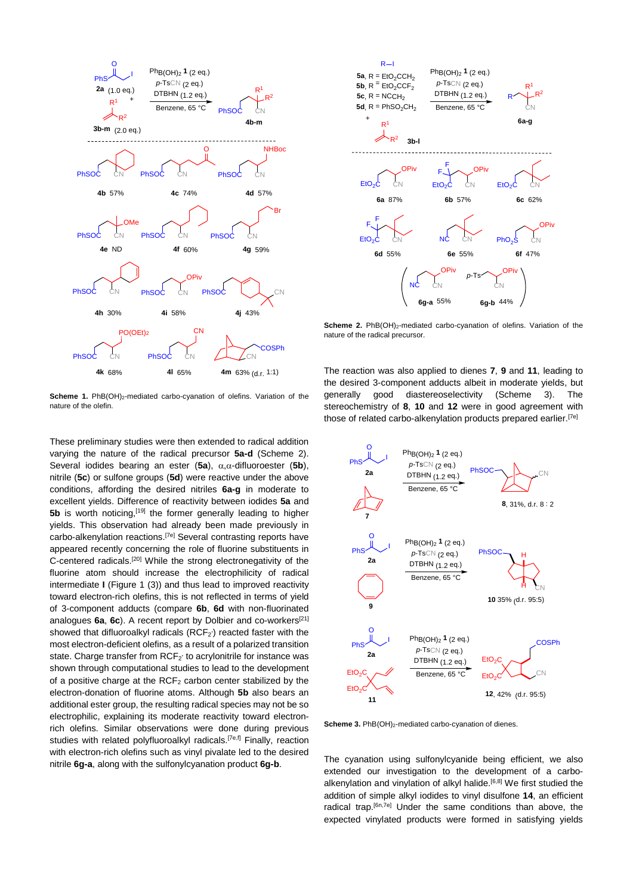

**Scheme 1.** PhB(OH)<sub>2</sub>-mediated carbo-cyanation of olefins. Variation of the nature of the olefin.

These preliminary studies were then extended to radical addition varying the nature of the radical precursor **5a-d** (Scheme 2). Several iodides bearing an ester (**5a**), α,α-difluoroester (**5b**), nitrile (**5c**) or sulfone groups (**5d**) were reactive under the above conditions, affording the desired nitriles **6a-g** in moderate to excellent yields. Difference of reactivity between iodides **5a** and 5b is worth noticing, [19] the former generally leading to higher yields. This observation had already been made previously in carbo-alkenylation reactions.[7e] Several contrasting reports have appeared recently concerning the role of fluorine substituents in C-centered radicals.[20] While the strong electronegativity of the fluorine atom should increase the electrophilicity of radical intermediate **I** (Figure 1 (3)) and thus lead to improved reactivity toward electron-rich olefins, this is not reflected in terms of yield of 3-component adducts (compare **6b**, **6d** with non-fluorinated analogues 6a, 6c). A recent report by Dolbier and co-workers<sup>[21]</sup> showed that difluoroalkyl radicals (RCF<sub>2</sub>) reacted faster with the most electron-deficient olefins, as a result of a polarized transition state. Charge transfer from RCF<sub>2</sub> to acrylonitrile for instance was shown through computational studies to lead to the development of a positive charge at the  $RCF_2$  carbon center stabilized by the electron-donation of fluorine atoms. Although **5b** also bears an additional ester group, the resulting radical species may not be so electrophilic, explaining its moderate reactivity toward electronrich olefins. Similar observations were done during previous studies with related polyfluoroalkyl radicals.<sup>[7e,f]</sup> Finally, reaction with electron-rich olefins such as vinyl pivalate led to the desired nitrile **6g-a**, along with the sulfonylcyanation product **6g-b**.



**Scheme 2.** PhB(OH)<sub>2</sub>-mediated carbo-cyanation of olefins. Variation of the nature of the radical precursor.

The reaction was also applied to dienes **7**, **9** and **11**, leading to the desired 3-component adducts albeit in moderate yields, but generally good diastereoselectivity (Scheme 3). The stereochemistry of **8**, **10** and **12** were in good agreement with those of related carbo-alkenylation products prepared earlier.[7e]



**Scheme 3. PhB(OH)<sub>2</sub>-mediated carbo-cyanation of dienes.** 

The cyanation using sulfonylcyanide being efficient, we also extended our investigation to the development of a carboalkenylation and vinylation of alkyl halide.<sup>[6,8]</sup> We first studied the addition of simple alkyl iodides to vinyl disulfone **14**, an efficient radical trap.[6n,7e] Under the same conditions than above, the expected vinylated products were formed in satisfying yields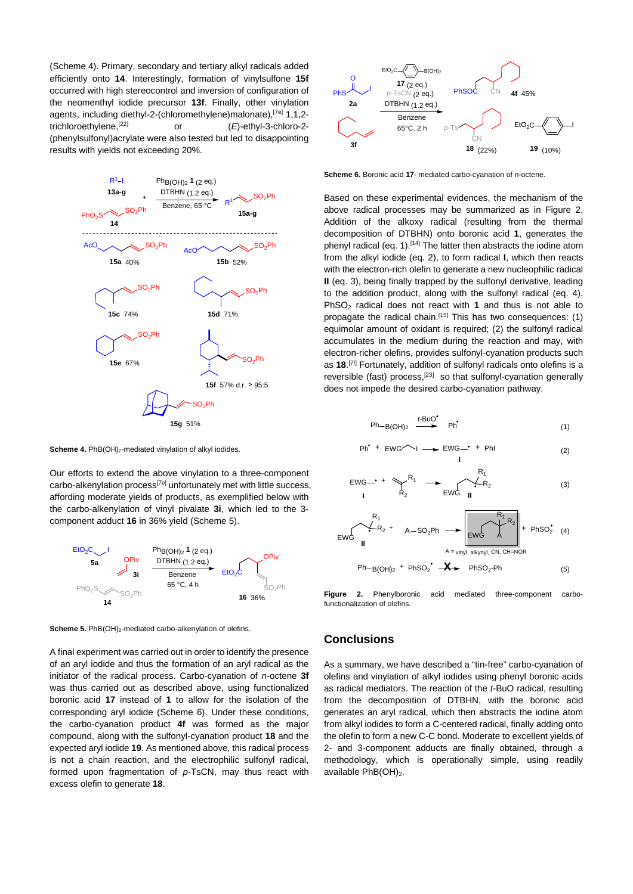(Scheme 4). Primary, secondary and tertiary alkyl radicals added efficiently onto **14**. Interestingly, formation of vinylsulfone **15f** occurred with high stereocontrol and inversion of configuration of the neomenthyl iodide precursor **13f**. Finally, other vinylation agents, including diethyl-2-(chloromethylene)malonate),<sup>[7e]</sup> 1,1,2trichloroethylene,[22] or (*E*)-ethyl-3-chloro-2- (phenylsulfonyl)acrylate were also tested but led to disappointing results with yields not exceeding 20%.



**Scheme 4.** PhB(OH)<sub>2</sub>-mediated vinylation of alkyl iodides.

Our efforts to extend the above vinylation to a three-component carbo-alkenylation process<sup>[7e]</sup> unfortunately met with little success, affording moderate yields of products, as exemplified below with the carbo-alkenylation of vinyl pivalate **3i**, which led to the 3 component adduct **16** in 36% yield (Scheme 5).



**Scheme 5.** PhB(OH)<sub>2</sub>-mediated carbo-alkenylation of olefins.

A final experiment was carried out in order to identify the presence of an aryl iodide and thus the formation of an aryl radical as the initiator of the radical process. Carbo-cyanation of *n*-octene **3f**  was thus carried out as described above, using functionalized boronic acid **17** instead of **1** to allow for the isolation of the corresponding aryl iodide (Scheme 6). Under these conditions, the carbo-cyanation product **4f** was formed as the major compound, along with the sulfonyl-cyanation product **18** and the expected aryl iodide **19**. As mentioned above, this radical process is not a chain reaction, and the electrophilic sulfonyl radical, formed upon fragmentation of *p*-TsCN, may thus react with excess olefin to generate **18**.



**Scheme 6.** Boronic acid **17**- mediated carbo-cyanation of n-octene.

Based on these experimental evidences, the mechanism of the above radical processes may be summarized as in Figure 2. Addition of the alkoxy radical (resulting from the thermal decomposition of DTBHN) onto boronic acid **1**, generates the phenyl radical (eq. 1).[14] The latter then abstracts the iodine atom from the alkyl iodide (eq. 2), to form radical **I**, which then reacts with the electron-rich olefin to generate a new nucleophilic radical **II** (eq. 3), being finally trapped by the sulfonyl derivative, leading to the addition product, along with the sulfonyl radical (eq. 4). PhSO2 radical does not react with **1** and thus is not able to propagate the radical chain.<sup>[15]</sup> This has two consequences: (1) equimolar amount of oxidant is required; (2) the sulfonyl radical accumulates in the medium during the reaction and may, with electron-richer olefins, provides sulfonyl-cyanation products such as **18**. [7f] Fortunately, addition of sulfonyl radicals onto olefins is a reversible (fast) process,<sup>[23]</sup> so that sulfonyl-cyanation generally does not impede the desired carbo-cyanation pathway.

$$
Ph-B(OH)_{2} \xrightarrow{t-BUO^{*}} Ph^{*} \tag{1}
$$

$$
Ph^{\uparrow} + EWG \sim I \longrightarrow EWG \rightarrow \text{+ PhI} \tag{2}
$$

$$
EWG - \cdot + \cdot \cdot \cdot \rightarrow R_1 R_1 \rightarrow R_2 R_2 R_3
$$
\n
$$
EWG \rightarrow R_1 R_2
$$
\n(3)



**Figure 2.** Phenylboronic acid mediated three-component carbofunctionalization of olefins.

#### **Conclusions**

As a summary, we have described a "tin-free" carbo-cyanation of olefins and vinylation of alkyl iodides using phenyl boronic acids as radical mediators. The reaction of the *t*-BuO radical, resulting from the decomposition of DTBHN, with the boronic acid generates an aryl radical, which then abstracts the iodine atom from alkyl iodides to form a C-centered radical, finally adding onto the olefin to form a new C-C bond. Moderate to excellent yields of 2- and 3-component adducts are finally obtained, through a methodology, which is operationally simple, using readily available  $PhB(OH)_2$ .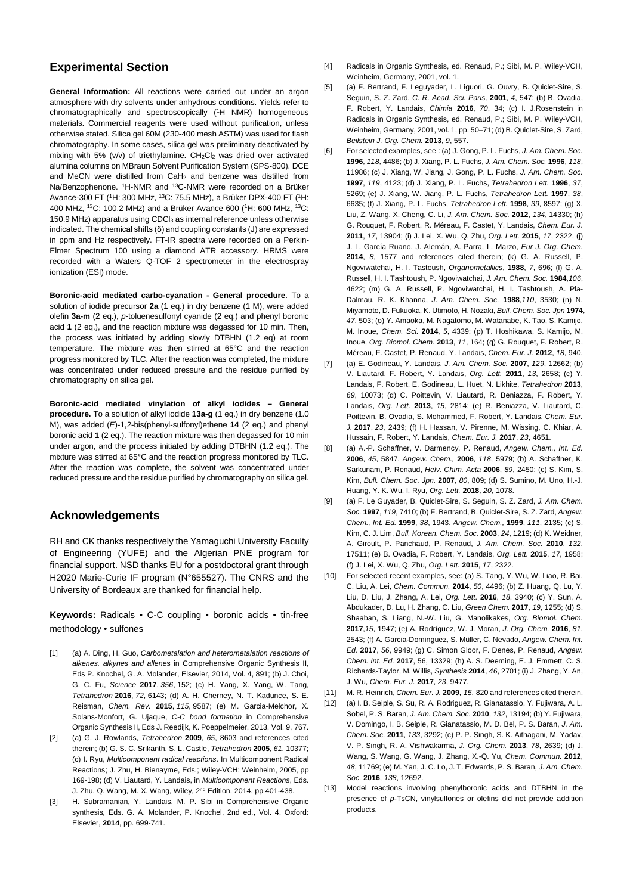#### **Experimental Section**

**General Information:** All reactions were carried out under an argon atmosphere with dry solvents under anhydrous conditions. Yields refer to chromatographically and spectroscopically (1H NMR) homogeneous materials. Commercial reagents were used without purification, unless otherwise stated. Silica gel 60M (230-400 mesh ASTM) was used for flash chromatography. In some cases, silica gel was preliminary deactivated by mixing with 5% (v/v) of triethylamine.  $CH_2Cl_2$  was dried over activated alumina columns on MBraun Solvent Purification System (SPS-800). DCE and MeCN were distilled from CaH<sub>2</sub> and benzene was distilled from Na/Benzophenone. 1H-NMR and 13C-NMR were recorded on a Brüker Avance-300 FT (1H: 300 MHz, 13C: 75.5 MHz), a Brüker DPX-400 FT (1H: 400 MHz, 13C: 100.2 MHz) and a Brüker Avance 600 (1H: 600 MHz, 13C: 150.9 MHz) apparatus using CDCI<sub>3</sub> as internal reference unless otherwise indicated. The chemical shifts (δ) and coupling constants (J) are expressed in ppm and Hz respectively. FT-IR spectra were recorded on a Perkin-Elmer Spectrum 100 using a diamond ATR accessory. HRMS were recorded with a Waters Q-TOF 2 spectrometer in the electrospray ionization (ESI) mode.

**Boronic-acid mediated carbo-cyanation - General procedure**. To a solution of iodide precursor **2a** (1 eq.) in dry benzene (1 M), were added olefin **3a-m** (2 eq.), *p*-toluenesulfonyl cyanide (2 eq.) and phenyl boronic acid **1** (2 eq.), and the reaction mixture was degassed for 10 min. Then, the process was initiated by adding slowly DTBHN (1.2 eq) at room temperature. The mixture was then stirred at 65°C and the reaction progress monitored by TLC. After the reaction was completed, the mixture was concentrated under reduced pressure and the residue purified by chromatography on silica gel.

**Boronic-acid mediated vinylation of alkyl iodides – General procedure.** To a solution of alkyl iodide **13a-g** (1 eq.) in dry benzene (1.0 M), was added (*E*)-1,2-bis(phenyl-sulfonyl)ethene **14** (2 eq.) and phenyl boronic acid **1** (2 eq.). The reaction mixture was then degassed for 10 min under argon, and the process initiated by adding DTBHN (1.2 eq.). The mixture was stirred at 65°C and the reaction progress monitored by TLC. After the reaction was complete, the solvent was concentrated under reduced pressure and the residue purified by chromatography on silica gel.

#### **Acknowledgements**

RH and CK thanks respectively the Yamaguchi University Faculty of Engineering (YUFE) and the Algerian PNE program for financial support. NSD thanks EU for a postdoctoral grant through H2020 Marie-Curie IF program (N°655527). The CNRS and the University of Bordeaux are thanked for financial help.

**Keywords:** Radicals • C-C coupling • boronic acids • tin-free methodology • sulfones

- [1] (a) A. Ding, H. Guo, *Carbometalation and heterometalation reactions of alkenes, alkynes and allene*s in Comprehensive Organic Synthesis II, Eds P. Knochel, G. A. Molander, Elsevier, 2014, Vol. 4, 891; (b) J. Choi, G. C. Fu, *Science* **2017**, *356*, 152; (c) H. Yang, X. Yang, W. Tang, *Tetrahedron* **2016**, *72*, 6143; (d) A. H. Cherney, N. T. Kadunce, S. E. Reisman, *Chem. Rev.* **2015**, *115*, 9587; (e) M. Garcia-Melchor, X. Solans-Monfort, G. Ujaque, *C-C bond formation* in Comprehensive Organic Synthesis II, Eds J. Reedijk, K. Poeppelmeier, 2013, Vol. 9, 767.
- [2] (a) G. J. Rowlands, *Tetrahedron* **2009**, *65*, 8603 and references cited therein; (b) G. S. C. Srikanth, S. L. Castle, *Tetrahedron* **2005**, *61*, 10377; (c) I. Ryu, *Multicomponent radical reactions*. In Multicomponent Radical Reactions; J. Zhu, H. Bienayme, Eds.; Wiley-VCH: Weinheim, 2005, pp 169-198; (d) V. Liautard, Y. Landais, in *Multicomponent Reactions*, Eds. J. Zhu, Q. Wang, M. X. Wang, Wiley, 2nd Edition. 2014, pp 401-438.
- [3] H. Subramanian, Y. Landais, M. P. Sibi in Comprehensive Organic synthesis*,* Eds. G. A. Molander, P. Knochel, 2nd ed., Vol. 4, Oxford: Elsevier, **2014**, pp. 699-741.
- [4] Radicals in Organic Synthesis, ed. Renaud, P.; Sibi, M. P. Wiley-VCH, Weinheim, Germany, 2001, vol. 1.
- [5] (a) F. Bertrand, F. Leguyader, L. Liguori, G. Ouvry, B. Quiclet-Sire, S. Seguin, S. Z. Zard, *C. R. Acad. Sci. Paris,* **2001**, *4*, 547; (b) B. Ovadia, F. Robert, Y. Landais, *Chimia* **2016**, *70*, 34; (c) I. J.Rosenstein in Radicals in Organic Synthesis, ed. Renaud, P.; Sibi, M. P. Wiley-VCH, Weinheim, Germany, 2001, vol. 1, pp. 50–71; (d) B. Quiclet-Sire, S. Zard, *Beilstein J. Org. Chem.* **2013**, *9*, 557.
- [6] For selected examples, see : (a) J. Gong, P. L. Fuchs, *J. Am. Chem. Soc.*  **1996**, *118*, 4486; (b) J. Xiang, P. L. Fuchs, *J. Am. Chem. Soc.* **1996**, *118*, 11986; (c) J. Xiang, W. Jiang, J. Gong, P. L. Fuchs, *J. Am. Chem. Soc.*  **1997**, *119*, 4123; (d) J. Xiang, P. L. Fuchs, *Tetrahedron Lett.* **1996**, *37*, 5269; (e) J. Xiang, W. Jiang, P. L. Fuchs, *Tetrahedron Lett.* **1997**, *38*, 6635; (f) J. Xiang, P. L. Fuchs, *Tetrahedron Lett.* **1998**, *39*, 8597; (g) X. Liu, Z. Wang, X. Cheng, C. Li, *J. Am. Chem. Soc.* **2012**, *134*, 14330; (h) G. Rouquet, F. Robert, R. Méreau, F. Castet, Y. Landais, *Chem. Eur. J.*  **2011**, *17*, 13904; (i) J. Lei, X. Wu, Q. Zhu, *Org. Lett.* **2015**, *17*, 2322. (j) J. L. García Ruano, J. Alemán, A. Parra, L. Marzo, *Eur J. Org. Chem.* **2014**, *8*, 1577 and references cited therein; (k) G. A. Russell, P. Ngoviwatchai, H. I. Tastoush, *Organometallics*, **1988**, *7*, 696; (l) G. A. Russell, H. I. Tashtoush, P. Ngoviwatchai, *J. Am. Chem. Soc.* **1984**,*106*, 4622; (m) G. A. Russell, P. Ngoviwatchai, H. I. Tashtoush, A. Pla-Dalmau, R. K. Khanna, *J. Am. Chem. Soc.* **1988**,*110*, 3530; (n) N. Miyamoto, D. Fukuoka, K. Utimoto, H. Nozaki, *Bull. Chem. Soc. Jpn* **1974**, *47*, 503; (o) Y. Amaoka, M. Nagatomo, M. Watanabe, K. Tao, S. Kamijo, M. Inoue, *Chem. Sci.* **2014**, *5*, 4339; (p) T. Hoshikawa, S. Kamijo, M. Inoue, *Org. Biomol. Chem.* **2013**, *11*, 164; (q) G. Rouquet, F. Robert, R. Méreau, F. Castet, P. Renaud, Y. Landais, *Chem. Eur. J.* **2012**, *18*, 940.
- [7] (a) E. Godineau, Y. Landais, *J. Am. Chem. Soc.* **2007**, *129*, 12662; (b) V. Liautard, F. Robert, Y. Landais, *Org. Lett.* **2011**, *13*, 2658; (c) Y. Landais, F. Robert, E. Godineau, L. Huet, N. Likhite, *Tetrahedron* **2013**, *69*, 10073; (d) C. Poittevin, V. Liautard, R. Beniazza, F. Robert, Y. Landais, *Org. Lett.* **2013**, *15*, 2814; (e) R. Beniazza, V. Liautard, C. Poittevin, B. Ovadia, S. Mohammed, F. Robert, Y. Landais, *Chem. Eur. J.* **2017**, *23*, 2439; (f) H. Hassan, V. Pirenne, M. Wissing, C. Khiar, A. Hussain, F. Robert, Y. Landais, *Chem. Eur. J.* **2017**, *23*, 4651.
- [8] (a) A.-P. Schaffner, V. Darmency, P. Renaud, *Angew. Chem., Int. Ed.* **2006**, *45*, 5847. *Angew. Chem.,* **2006**, *118*, 5979; (b) A. Schaffner, K. Sarkunam, P. Renaud, *Helv. Chim. Acta* **2006**, *89*, 2450; (c) S. Kim, S. Kim, *Bull. Chem. Soc. Jpn.* **2007**, *80*, 809; (d) S. Sumino, M. Uno, H.-J. Huang, Y. K. Wu, I. Ryu, *Org. Lett.* **2018**, *20*, 1078.
- [9] (a) F. Le Guyader, B. Quiclet-Sire, S. Seguin, S. Z. Zard, *J. Am. Chem. Soc.* **1997**, *119*, 7410; (b) F. Bertrand, B. Quiclet-Sire, S. Z. Zard, *Angew. Chem., Int. Ed.* **1999**, *38*, 1943. *Angew. Chem.,* **1999**, *111*, 2135; (c) S. Kim, C. J. Lim, *Bull. Korean. Chem. Soc.* **2003**, *24*, 1219; (d) K. Weidner, A. Giroult, P. Panchaud, P. Renaud, *J. Am. Chem. Soc.* **2010**, *132*, 17511; (e) B. Ovadia, F. Robert, Y. Landais, *Org. Lett.* **2015**, *17*, 1958; (f) J. Lei, X. Wu, Q. Zhu, *Org. Lett.* **2015**, *17*, 2322.
- [10] For selected recent examples, see: (a) S. Tang, Y. Wu, W. Liao, R. Bai, C. Liu, A. Lei, *Chem. Commun.* **2014**, *50*, 4496; (b) Z. Huang, Q. Lu, Y. Liu, D. Liu, J. Zhang, A. Lei, *Org. Lett.* **2016**, *18*, 3940; (c) Y. Sun, A. Abdukader, D. Lu, H. Zhang, C. Liu, *Green Chem.* **2017**, *19*, 1255; (d) S. Shaaban, S. Liang, N.-W. Liu, G. Manolikakes, *Org. Biomol. Chem.* **2017**,*15*, 1947; (e) A. Rodríguez, W. J. Moran, *J. Org. Chem.* **2016**, *81*, 2543; (f) A. Garcia-Dominguez, S. Müller, C. Nevado, *Angew. Chem. Int. Ed.* **2017**, *56*, 9949; (g) C. Simon Gloor, F. Denes, P. Renaud, *Angew. Chem. Int. Ed.* **2017**, 56, 13329; (h) A. S. Deeming, E. J. Emmett, C. S. Richards-Taylor, M. Willis, *Synthesis* **2014**, *46*, 2701; (i) J. Zhang, Y. An, J. Wu, *Chem. Eur. J.* **2017**, *23*, 9477.
- [11] M. R. Heinrich, *Chem. Eur. J.* **2009**, *15*, 820 and references cited therein.
- [12] (a) I. B. Seiple, S. Su, R. A. Rodriguez, R. Gianatassio, Y. Fujiwara, A. L. Sobel, P. S. Baran, *J. Am. Chem. Soc.* **2010**, *132*, 13194; (b) Y. Fujiwara, V. Domingo, I. B. Seiple, R. Gianatassio, M. D. Bel, P. S. Baran, *J. Am. Chem. Soc.* **2011**, *133*, 3292; (c) P. P. Singh, S. K. Aithagani, M. Yadav, V. P. Singh, R. A. Vishwakarma, *J. Org. Chem.* **2013**, *78*, 2639; (d) J. Wang, S. Wang, G. Wang, J. Zhang, X.-Q. Yu, *Chem. Commun.* **2012**, *48*, 11769; (e) M. Yan, J. C. Lo, J. T. Edwards, P. S. Baran, *J. Am. Chem. Soc.* **2016**, *138*, 12692.
- [13] Model reactions involving phenylboronic acids and DTBHN in the presence of *p*-TsCN, vinylsulfones or olefins did not provide addition products.